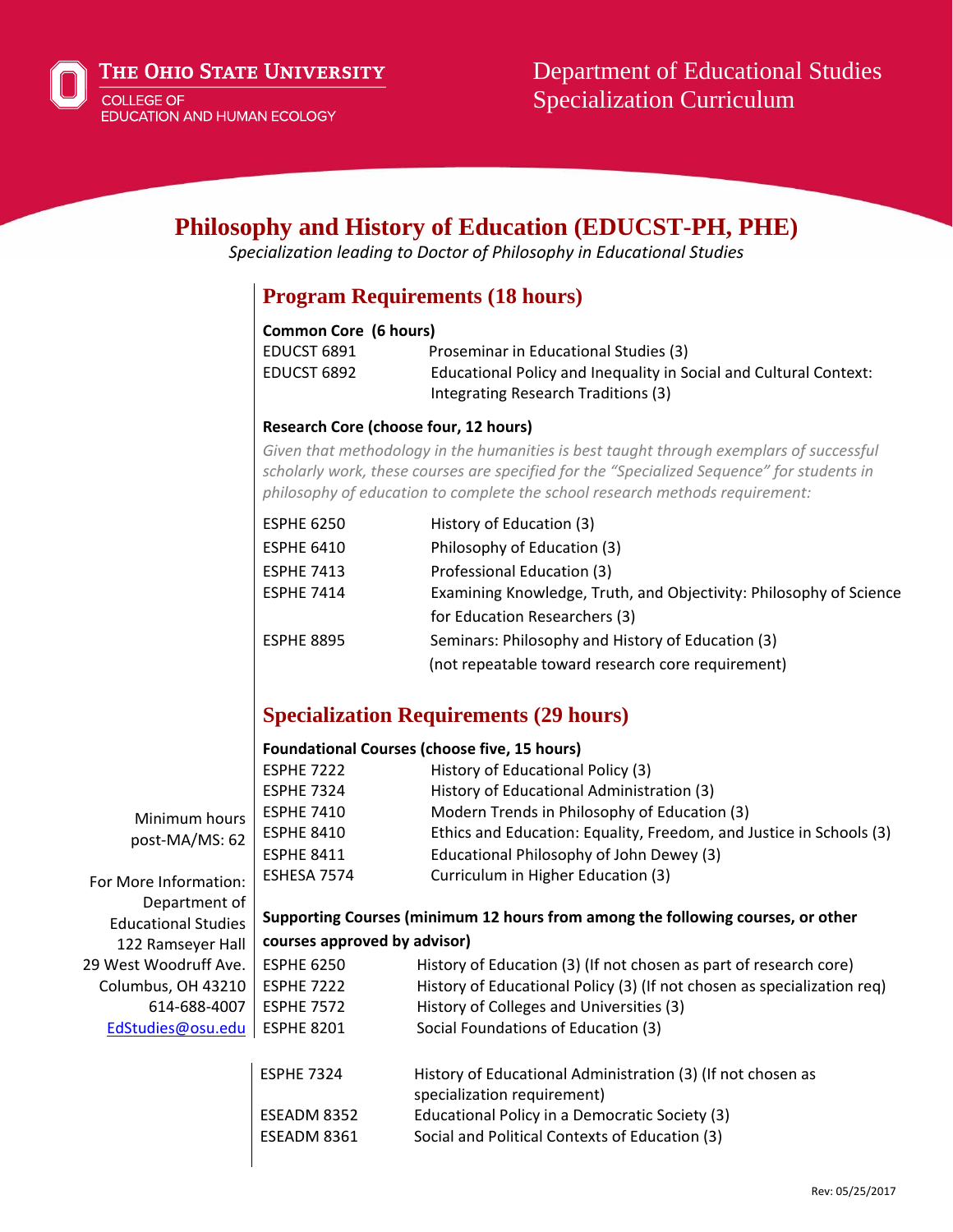

# **Philosophy and History of Education (EDUCST-PH, PHE)**

*Specialization leading to Doctor of Philosophy in Educational Studies*

### **Program Requirements (18 hours)**

#### **Common Core (6 hours)**

| EDUCST 6891 | Proseminar in Educational Studies (3)                             |
|-------------|-------------------------------------------------------------------|
| EDUCST 6892 | Educational Policy and Inequality in Social and Cultural Context: |
|             | Integrating Research Traditions (3)                               |

#### **Research Core (choose four, 12 hours)**

*Given that methodology in the humanities is best taught through exemplars of successful scholarly work, these courses are specified for the "Specialized Sequence" for students in philosophy of education to complete the school research methods requirement:*

| <b>ESPHE 6250</b> | History of Education (3)                                           |
|-------------------|--------------------------------------------------------------------|
| <b>ESPHE 6410</b> | Philosophy of Education (3)                                        |
| <b>ESPHE 7413</b> | Professional Education (3)                                         |
| <b>ESPHE 7414</b> | Examining Knowledge, Truth, and Objectivity: Philosophy of Science |
|                   | for Education Researchers (3)                                      |
| <b>ESPHE 8895</b> | Seminars: Philosophy and History of Education (3)                  |
|                   | (not repeatable toward research core requirement)                  |

## **Specialization Requirements (29 hours)**

|                            |                                                                                 | <b>Foundational Courses (choose five, 15 hours)</b>                                        |  |
|----------------------------|---------------------------------------------------------------------------------|--------------------------------------------------------------------------------------------|--|
|                            | <b>ESPHE 7222</b>                                                               | History of Educational Policy (3)                                                          |  |
|                            | <b>ESPHE 7324</b>                                                               | History of Educational Administration (3)                                                  |  |
| Minimum hours              | <b>ESPHE 7410</b>                                                               | Modern Trends in Philosophy of Education (3)                                               |  |
| post-MA/MS: 62             | <b>ESPHE 8410</b>                                                               | Ethics and Education: Equality, Freedom, and Justice in Schools (3)                        |  |
|                            | <b>ESPHE 8411</b>                                                               | Educational Philosophy of John Dewey (3)                                                   |  |
| For More Information:      | ESHESA 7574                                                                     | Curriculum in Higher Education (3)                                                         |  |
| Department of              |                                                                                 |                                                                                            |  |
| <b>Educational Studies</b> | Supporting Courses (minimum 12 hours from among the following courses, or other |                                                                                            |  |
| 122 Ramseyer Hall          | courses approved by advisor)                                                    |                                                                                            |  |
| 29 West Woodruff Ave.      | <b>ESPHE 6250</b>                                                               | History of Education (3) (If not chosen as part of research core)                          |  |
| Columbus, OH 43210         | <b>ESPHE 7222</b>                                                               | History of Educational Policy (3) (If not chosen as specialization reg)                    |  |
| 614-688-4007               | <b>ESPHE 7572</b>                                                               | History of Colleges and Universities (3)                                                   |  |
| EdStudies@osu.edu          | <b>ESPHE 8201</b>                                                               | Social Foundations of Education (3)                                                        |  |
|                            | <b>ESPHE 7324</b>                                                               | History of Educational Administration (3) (If not chosen as<br>specialization requirement) |  |

ESEADM 8352 Educational Policy in a Democratic Society (3) ESEADM 8361 Social and Political Contexts of Education (3)